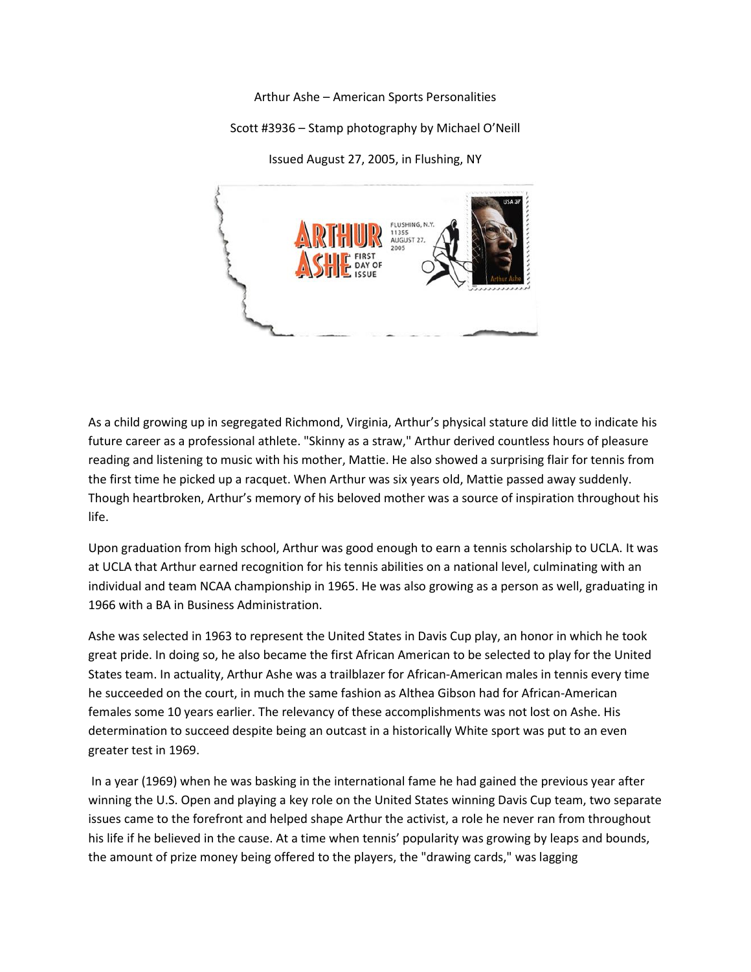Arthur Ashe – American Sports Personalities

Scott #3936 – Stamp photography by Michael O'Neill

Issued August 27, 2005, in Flushing, NY



As a child growing up in segregated Richmond, Virginia, Arthur's physical stature did little to indicate his future career as a professional athlete. "Skinny as a straw," Arthur derived countless hours of pleasure reading and listening to music with his mother, Mattie. He also showed a surprising flair for tennis from the first time he picked up a racquet. When Arthur was six years old, Mattie passed away suddenly. Though heartbroken, Arthur's memory of his beloved mother was a source of inspiration throughout his life.

Upon graduation from high school, Arthur was good enough to earn a tennis scholarship to UCLA. It was at UCLA that Arthur earned recognition for his tennis abilities on a national level, culminating with an individual and team NCAA championship in 1965. He was also growing as a person as well, graduating in 1966 with a BA in Business Administration.

Ashe was selected in 1963 to represent the United States in Davis Cup play, an honor in which he took great pride. In doing so, he also became the first African American to be selected to play for the United States team. In actuality, Arthur Ashe was a trailblazer for African-American males in tennis every time he succeeded on the court, in much the same fashion as Althea Gibson had for African-American females some 10 years earlier. The relevancy of these accomplishments was not lost on Ashe. His determination to succeed despite being an outcast in a historically White sport was put to an even greater test in 1969.

In a year (1969) when he was basking in the international fame he had gained the previous year after winning the U.S. Open and playing a key role on the United States winning Davis Cup team, two separate issues came to the forefront and helped shape Arthur the activist, a role he never ran from throughout his life if he believed in the cause. At a time when tennis' popularity was growing by leaps and bounds, the amount of prize money being offered to the players, the "drawing cards," was lagging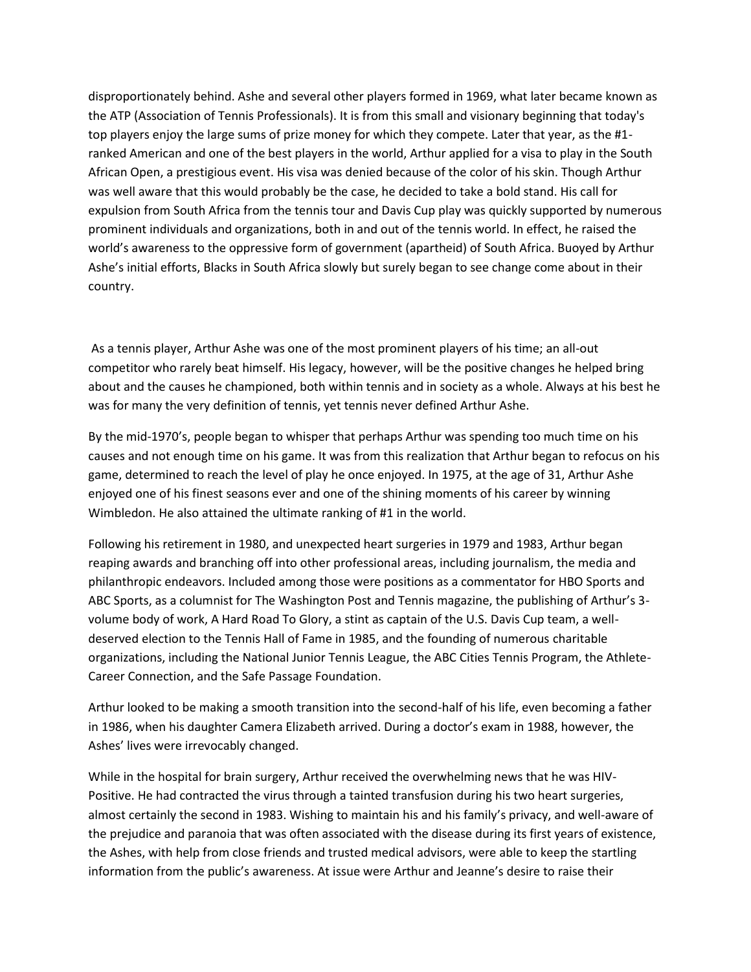disproportionately behind. Ashe and several other players formed in 1969, what later became known as the ATP (Association of Tennis Professionals). It is from this small and visionary beginning that today's top players enjoy the large sums of prize money for which they compete. Later that year, as the #1 ranked American and one of the best players in the world, Arthur applied for a visa to play in the South African Open, a prestigious event. His visa was denied because of the color of his skin. Though Arthur was well aware that this would probably be the case, he decided to take a bold stand. His call for expulsion from South Africa from the tennis tour and Davis Cup play was quickly supported by numerous prominent individuals and organizations, both in and out of the tennis world. In effect, he raised the world's awareness to the oppressive form of government (apartheid) of South Africa. Buoyed by Arthur Ashe's initial efforts, Blacks in South Africa slowly but surely began to see change come about in their country.

As a tennis player, Arthur Ashe was one of the most prominent players of his time; an all-out competitor who rarely beat himself. His legacy, however, will be the positive changes he helped bring about and the causes he championed, both within tennis and in society as a whole. Always at his best he was for many the very definition of tennis, yet tennis never defined Arthur Ashe.

By the mid-1970's, people began to whisper that perhaps Arthur was spending too much time on his causes and not enough time on his game. It was from this realization that Arthur began to refocus on his game, determined to reach the level of play he once enjoyed. In 1975, at the age of 31, Arthur Ashe enjoyed one of his finest seasons ever and one of the shining moments of his career by winning Wimbledon. He also attained the ultimate ranking of #1 in the world.

Following his retirement in 1980, and unexpected heart surgeries in 1979 and 1983, Arthur began reaping awards and branching off into other professional areas, including journalism, the media and philanthropic endeavors. Included among those were positions as a commentator for HBO Sports and ABC Sports, as a columnist for The Washington Post and Tennis magazine, the publishing of Arthur's 3 volume body of work, A Hard Road To Glory, a stint as captain of the U.S. Davis Cup team, a welldeserved election to the Tennis Hall of Fame in 1985, and the founding of numerous charitable organizations, including the National Junior Tennis League, the ABC Cities Tennis Program, the Athlete-Career Connection, and the Safe Passage Foundation.

Arthur looked to be making a smooth transition into the second-half of his life, even becoming a father in 1986, when his daughter Camera Elizabeth arrived. During a doctor's exam in 1988, however, the Ashes' lives were irrevocably changed.

While in the hospital for brain surgery, Arthur received the overwhelming news that he was HIV-Positive. He had contracted the virus through a tainted transfusion during his two heart surgeries, almost certainly the second in 1983. Wishing to maintain his and his family's privacy, and well-aware of the prejudice and paranoia that was often associated with the disease during its first years of existence, the Ashes, with help from close friends and trusted medical advisors, were able to keep the startling information from the public's awareness. At issue were Arthur and Jeanne's desire to raise their